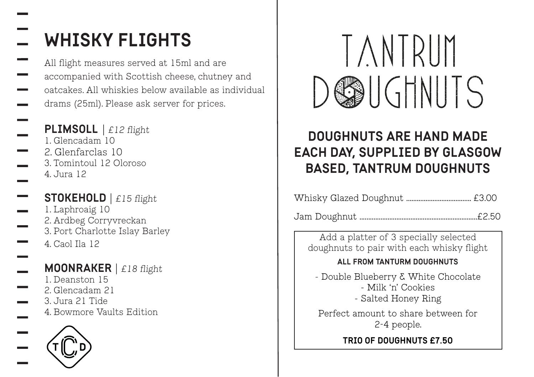# WHISKY FLIGHTS

All flight measures served at 15ml and are accompanied with Scottish cheese, chutney and oatcakes. All whiskies below available as individual drams (25ml). Please ask server for prices.

## PLIMSOLL | £12 flight

- 1. Glencadam 10 2. Glenfarclas 10 3. Tomintoul 12 Oloroso 4. Jura 12
- **STOKEHOLD**  $\int$  £15 flight 1. Laphroaig 10 2. Ardbeg Corryvreckan 3. Port Charlotte Islay Barley 4. Caol Ila 12

#### MOONRAKER | £18 flight 1. Deanston 15 2. Glencadam 21 3. Jura 21 Tide 4. Bowmore Vaults Edition





## DOUGHNUTS ARE HAND MADE EACH DAY, SUPPLIED BY GLASGOW BASED, TANTRUM DOUGHNUTS

|--|--|

Jam Doughnut ...................................................................£2.50

Add a platter of 3 specially selected doughnuts to pair with each whisky flight

### ALL FROM TANTURM DOUGHNUTS

- Double Blueberry & White Chocolate - Milk 'n' Cookies - Salted Honey Ring

Perfect amount to share between for 2-4 people.

### TRIO OF DOUGHNUTS £7.50